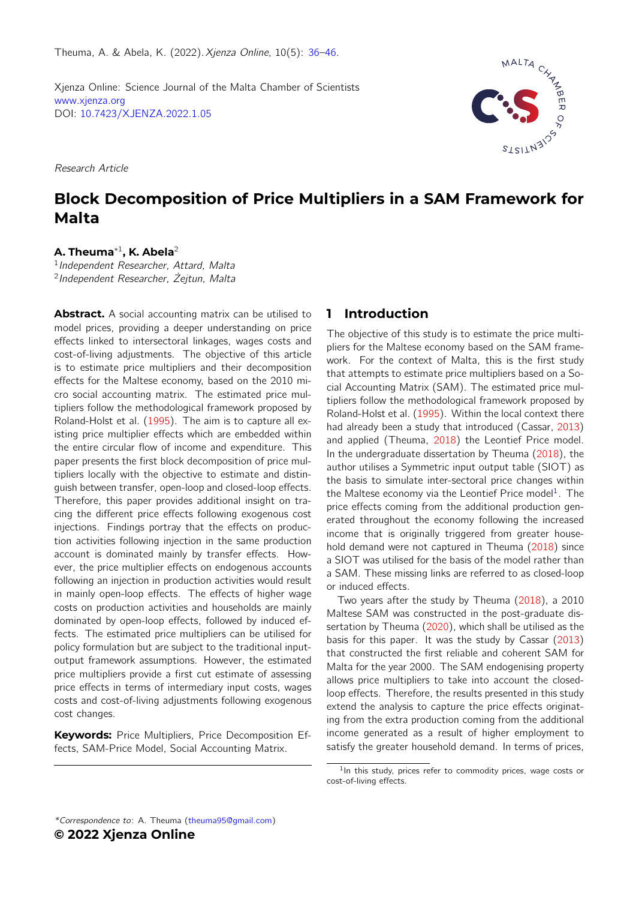Theuma, A. & Abela, K. (2022).Xjenza Online, 10(5): [36](#page-0-0)[–46.](#page-10-0)

<span id="page-0-0"></span>Xjenza Online: Science Journal of the Malta Chamber of Scientists [www.xjenza.org](https://www.xjenza.org) DOI: [10.7423/XJENZA.2022.1.05](https://doi.org/10.7423/XJENZA.2022.1.05)

Research Article

# MALTA

# **Block Decomposition of Price Multipliers in a SAM Framework for Malta**

#### **A. Theuma**<sup>∗</sup><sup>1</sup> **, K. Abela**<sup>2</sup>

<sup>1</sup> Independent Researcher, Attard, Malta 2 Independent Researcher, Żejtun, Malta

**Abstract.** A social accounting matrix can be utilised to model prices, providing a deeper understanding on price effects linked to intersectoral linkages, wages costs and cost-of-living adjustments. The objective of this article is to estimate price multipliers and their decomposition effects for the Maltese economy, based on the 2010 micro social accounting matrix. The estimated price multipliers follow the methodological framework proposed by Roland-Holst et al. [\(1995\)](#page-8-0). The aim is to capture all existing price multiplier effects which are embedded within the entire circular flow of income and expenditure. This paper presents the first block decomposition of price multipliers locally with the objective to estimate and distinguish between transfer, open-loop and closed-loop effects. Therefore, this paper provides additional insight on tracing the different price effects following exogenous cost injections. Findings portray that the effects on production activities following injection in the same production account is dominated mainly by transfer effects. However, the price multiplier effects on endogenous accounts following an injection in production activities would result in mainly open-loop effects. The effects of higher wage costs on production activities and households are mainly dominated by open-loop effects, followed by induced effects. The estimated price multipliers can be utilised for policy formulation but are subject to the traditional inputoutput framework assumptions. However, the estimated price multipliers provide a first cut estimate of assessing price effects in terms of intermediary input costs, wages costs and cost-of-living adjustments following exogenous cost changes.

**Keywords:** Price Multipliers, Price Decomposition Effects, SAM-Price Model, Social Accounting Matrix.

### **1 Introduction**

The objective of this study is to estimate the price multipliers for the Maltese economy based on the SAM framework. For the context of Malta, this is the first study that attempts to estimate price multipliers based on a Social Accounting Matrix (SAM). The estimated price multipliers follow the methodological framework proposed by Roland-Holst et al. [\(1995\)](#page-8-0). Within the local context there had already been a study that introduced (Cassar, [2013\)](#page-8-1) and applied (Theuma, [2018\)](#page-8-2) the Leontief Price model. In the undergraduate dissertation by Theuma [\(2018\)](#page-8-2), the author utilises a Symmetric input output table (SIOT) as the basis to simulate inter-sectoral price changes within the Maltese economy via the Leontief Price model<sup>[1](#page-0-1)</sup>. The price effects coming from the additional production generated throughout the economy following the increased income that is originally triggered from greater household demand were not captured in Theuma [\(2018\)](#page-8-2) since a SIOT was utilised for the basis of the model rather than a SAM. These missing links are referred to as closed-loop or induced effects.

Two years after the study by Theuma [\(2018\)](#page-8-2), a 2010 Maltese SAM was constructed in the post-graduate dissertation by Theuma [\(2020\)](#page-8-3), which shall be utilised as the basis for this paper. It was the study by Cassar [\(2013\)](#page-8-1) that constructed the first reliable and coherent SAM for Malta for the year 2000. The SAM endogenising property allows price multipliers to take into account the closedloop effects. Therefore, the results presented in this study extend the analysis to capture the price effects originating from the extra production coming from the additional income generated as a result of higher employment to satisfy the greater household demand. In terms of prices,

<span id="page-0-1"></span><sup>&</sup>lt;sup>1</sup>In this study, prices refer to commodity prices, wage costs or cost-of-living effects.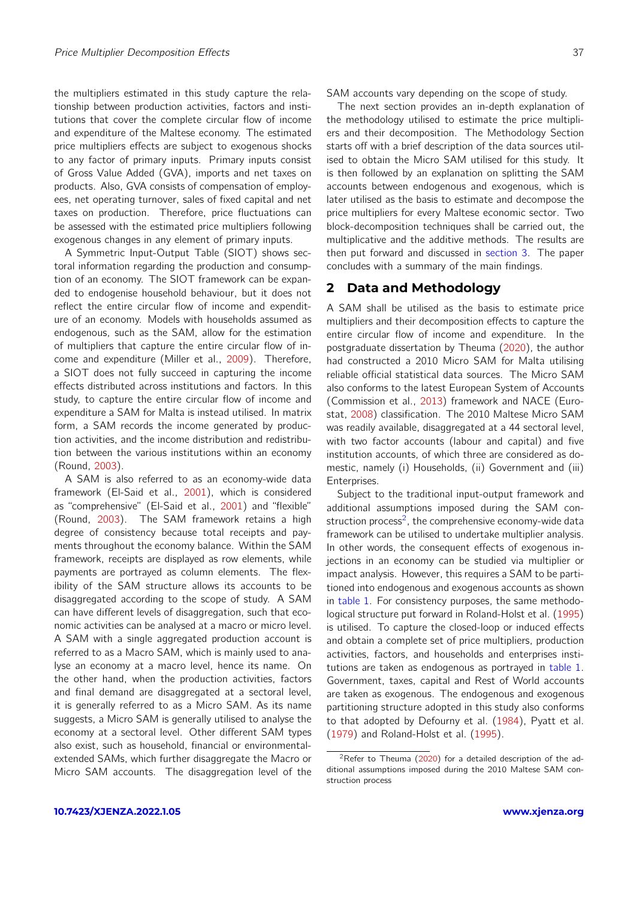the multipliers estimated in this study capture the relationship between production activities, factors and institutions that cover the complete circular flow of income and expenditure of the Maltese economy. The estimated price multipliers effects are subject to exogenous shocks to any factor of primary inputs. Primary inputs consist of Gross Value Added (GVA), imports and net taxes on products. Also, GVA consists of compensation of employees, net operating turnover, sales of fixed capital and net taxes on production. Therefore, price fluctuations can be assessed with the estimated price multipliers following exogenous changes in any element of primary inputs.

A Symmetric Input-Output Table (SIOT) shows sectoral information regarding the production and consumption of an economy. The SIOT framework can be expanded to endogenise household behaviour, but it does not reflect the entire circular flow of income and expenditure of an economy. Models with households assumed as endogenous, such as the SAM, allow for the estimation of multipliers that capture the entire circular flow of income and expenditure (Miller et al., [2009\)](#page-8-4). Therefore, a SIOT does not fully succeed in capturing the income effects distributed across institutions and factors. In this study, to capture the entire circular flow of income and expenditure a SAM for Malta is instead utilised. In matrix form, a SAM records the income generated by production activities, and the income distribution and redistribution between the various institutions within an economy (Round, [2003\)](#page-8-5).

A SAM is also referred to as an economy-wide data framework (El-Said et al., [2001\)](#page-8-6), which is considered as "comprehensive" (El-Said et al., [2001\)](#page-8-6) and "flexible" (Round, [2003\)](#page-8-5). The SAM framework retains a high degree of consistency because total receipts and payments throughout the economy balance. Within the SAM framework, receipts are displayed as row elements, while payments are portrayed as column elements. The flexibility of the SAM structure allows its accounts to be disaggregated according to the scope of study. A SAM can have different levels of disaggregation, such that economic activities can be analysed at a macro or micro level. A SAM with a single aggregated production account is referred to as a Macro SAM, which is mainly used to analyse an economy at a macro level, hence its name. On the other hand, when the production activities, factors and final demand are disaggregated at a sectoral level, it is generally referred to as a Micro SAM. As its name suggests, a Micro SAM is generally utilised to analyse the economy at a sectoral level. Other different SAM types also exist, such as household, financial or environmentalextended SAMs, which further disaggregate the Macro or Micro SAM accounts. The disaggregation level of the

SAM accounts vary depending on the scope of study.

The next section provides an in-depth explanation of the methodology utilised to estimate the price multipliers and their decomposition. The Methodology Section starts off with a brief description of the data sources utilised to obtain the Micro SAM utilised for this study. It is then followed by an explanation on splitting the SAM accounts between endogenous and exogenous, which is later utilised as the basis to estimate and decompose the price multipliers for every Maltese economic sector. Two block-decomposition techniques shall be carried out, the multiplicative and the additive methods. The results are then put forward and discussed in [section 3.](#page-5-0) The paper concludes with a summary of the main findings.

#### **2 Data and Methodology**

A SAM shall be utilised as the basis to estimate price multipliers and their decomposition effects to capture the entire circular flow of income and expenditure. In the postgraduate dissertation by Theuma [\(2020\)](#page-8-3), the author had constructed a 2010 Micro SAM for Malta utilising reliable official statistical data sources. The Micro SAM also conforms to the latest European System of Accounts (Commission et al., [2013\)](#page-8-7) framework and NACE (Eurostat, [2008\)](#page-8-8) classification. The 2010 Maltese Micro SAM was readily available, disaggregated at a 44 sectoral level, with two factor accounts (labour and capital) and five institution accounts, of which three are considered as domestic, namely (i) Households, (ii) Government and (iii) Enterprises.

Subject to the traditional input-output framework and additional assumptions imposed during the SAM con-struction process<sup>[2](#page-1-0)</sup>, the comprehensive economy-wide data framework can be utilised to undertake multiplier analysis. In other words, the consequent effects of exogenous injections in an economy can be studied via multiplier or impact analysis. However, this requires a SAM to be partitioned into endogenous and exogenous accounts as shown in [table 1.](#page-3-0) For consistency purposes, the same methodological structure put forward in Roland-Holst et al. [\(1995\)](#page-8-0) is utilised. To capture the closed-loop or induced effects and obtain a complete set of price multipliers, production activities, factors, and households and enterprises institutions are taken as endogenous as portrayed in [table 1.](#page-3-0) Government, taxes, capital and Rest of World accounts are taken as exogenous. The endogenous and exogenous partitioning structure adopted in this study also conforms to that adopted by Defourny et al. [\(1984\)](#page-8-9), Pyatt et al. [\(1979\)](#page-8-10) and Roland-Holst et al. [\(1995\)](#page-8-0).

<span id="page-1-0"></span><sup>&</sup>lt;sup>2</sup>Refer to Theuma [\(2020\)](#page-8-3) for a detailed description of the additional assumptions imposed during the 2010 Maltese SAM construction process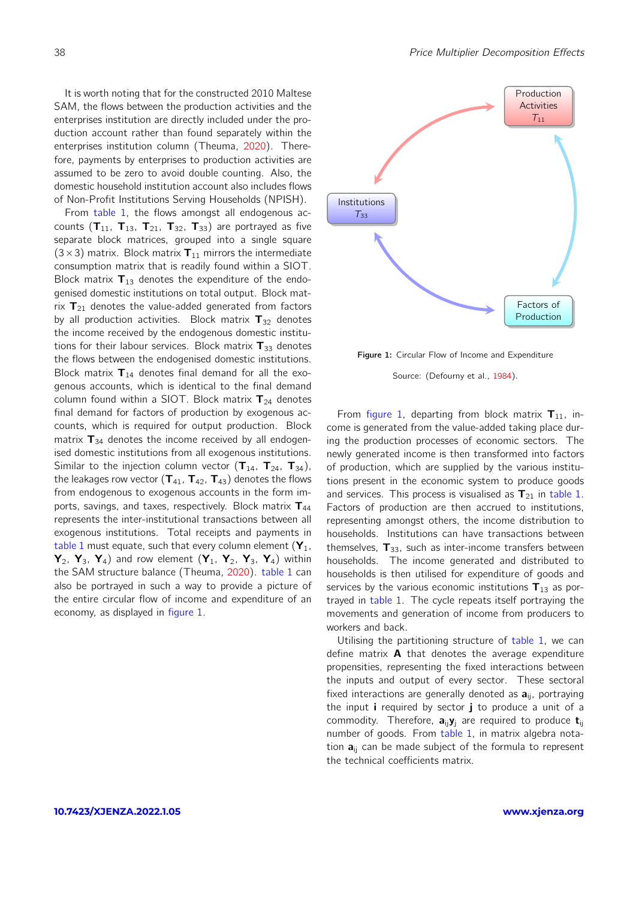It is worth noting that for the constructed 2010 Maltese SAM, the flows between the production activities and the enterprises institution are directly included under the production account rather than found separately within the enterprises institution column (Theuma, [2020\)](#page-8-3). Therefore, payments by enterprises to production activities are assumed to be zero to avoid double counting. Also, the domestic household institution account also includes flows of Non-Profit Institutions Serving Households (NPISH).

From [table 1,](#page-3-0) the flows amongst all endogenous accounts  $(T_{11}, T_{13}, T_{21}, T_{32}, T_{33})$  are portrayed as five separate block matrices, grouped into a single square  $(3\times3)$  matrix. Block matrix  $T_{11}$  mirrors the intermediate consumption matrix that is readily found within a SIOT. Block matrix  $T_{13}$  denotes the expenditure of the endogenised domestic institutions on total output. Block matrix  $T_{21}$  denotes the value-added generated from factors by all production activities. Block matrix  $T_{32}$  denotes the income received by the endogenous domestic institutions for their labour services. Block matrix  $T_{33}$  denotes the flows between the endogenised domestic institutions. Block matrix  $T_{14}$  denotes final demand for all the exogenous accounts, which is identical to the final demand column found within a SIOT. Block matrix  $T_{24}$  denotes final demand for factors of production by exogenous accounts, which is required for output production. Block matrix  $T_{34}$  denotes the income received by all endogenised domestic institutions from all exogenous institutions. Similar to the injection column vector  $({\bf T}_{14}, {\bf T}_{24}, {\bf T}_{34})$ , the leakages row vector  $(\mathbf{T}_{41}, \mathbf{T}_{42}, \mathbf{T}_{43})$  denotes the flows from endogenous to exogenous accounts in the form imports, savings, and taxes, respectively. Block matrix  $\mathbf{T}_{44}$ represents the inter-institutional transactions between all exogenous institutions. Total receipts and payments in [table 1](#page-3-0) must equate, such that every column element  $(Y_1, Y_2, \ldots, Y_n)$  $Y_2$ ,  $Y_3$ ,  $Y_4$ ) and row element  $(Y_1, Y_2, Y_3, Y_4)$  within the SAM structure balance (Theuma, [2020\)](#page-8-3). [table 1](#page-3-0) can also be portrayed in such a way to provide a picture of the entire circular flow of income and expenditure of an economy, as displayed in [figure 1.](#page-2-0)

<span id="page-2-0"></span>

Figure 1: Circular Flow of Income and Expenditure

Source: (Defourny et al., [1984\)](#page-8-9).

From [figure 1,](#page-2-0) departing from block matrix  $T_{11}$ , income is generated from the value-added taking place during the production processes of economic sectors. The newly generated income is then transformed into factors of production, which are supplied by the various institutions present in the economic system to produce goods and services. This process is visualised as  $T_{21}$  in [table 1.](#page-3-0) Factors of production are then accrued to institutions, representing amongst others, the income distribution to households. Institutions can have transactions between themselves,  $T_{33}$ , such as inter-income transfers between households. The income generated and distributed to households is then utilised for expenditure of goods and services by the various economic institutions  $T_{13}$  as portrayed in [table 1.](#page-3-0) The cycle repeats itself portraying the movements and generation of income from producers to workers and back.

Utilising the partitioning structure of [table 1,](#page-3-0) we can define matrix  $\bf{A}$  that denotes the average expenditure propensities, representing the fixed interactions between the inputs and output of every sector. These sectoral fixed interactions are generally denoted as  $a_{ii}$ , portraying the input i required by sector  $j$  to produce a unit of a commodity. Therefore,  $a_{ii}y_i$  are required to produce  $t_{ii}$ number of goods. From [table 1,](#page-3-0) in matrix algebra notation  $a_{ii}$  can be made subject of the formula to represent the technical coefficients matrix.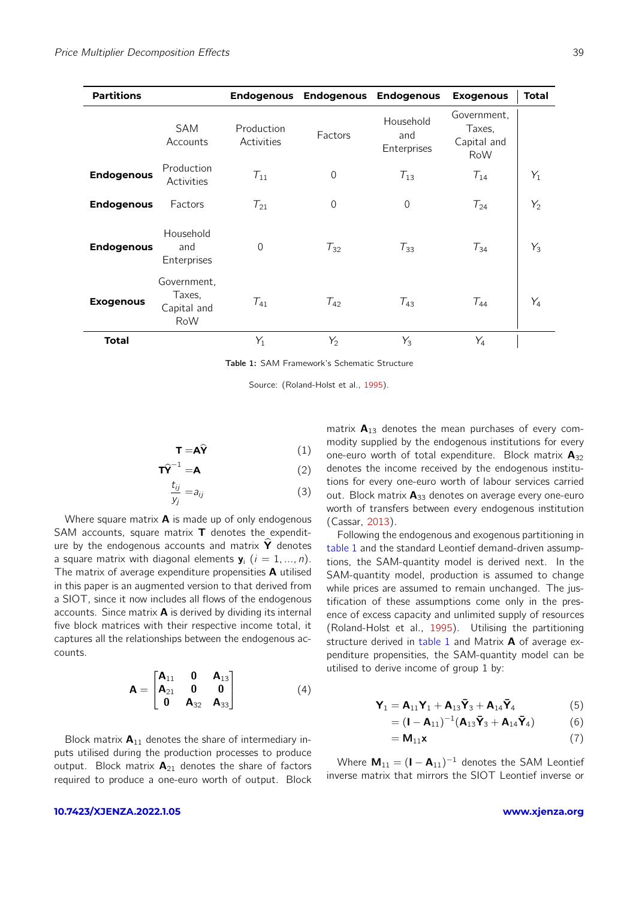<span id="page-3-0"></span>

| <b>Partitions</b> |                                             | <b>Endogenous</b>        |                | <b>Endogenous Endogenous</b>    | <b>Exogenous</b>                                   | <b>Total</b> |
|-------------------|---------------------------------------------|--------------------------|----------------|---------------------------------|----------------------------------------------------|--------------|
|                   | <b>SAM</b><br>Accounts                      | Production<br>Activities | Factors        | Household<br>and<br>Enterprises | Government.<br>Taxes,<br>Capital and<br><b>RoW</b> |              |
| <b>Endogenous</b> | Production<br>Activities                    | $T_{11}$                 | $\overline{0}$ | $T_{13}$                        | $T_{14}$                                           | $Y_1$        |
| <b>Endogenous</b> | Factors                                     | $T_{21}$                 | 0              | $\overline{0}$                  | $T_{24}$                                           | $Y_2$        |
| <b>Endogenous</b> | Household<br>and<br>Enterprises             | $\overline{0}$           | $T_{32}$       | $T_{33}$                        | $T_{34}$                                           | $Y_3$        |
| <b>Exogenous</b>  | Government,<br>Taxes,<br>Capital and<br>RoW | $T_{41}$                 | $T_{42}$       | $T_{43}$                        | $T_{44}$                                           | $Y_4$        |
| <b>Total</b>      |                                             | $Y_1$                    | $Y_2$          | $Y_3$                           | $Y_4$                                              |              |

Table 1: SAM Framework's Schematic Structure

Source: (Roland-Holst et al., [1995\)](#page-8-0).

$$
\mathbf{T} = \mathbf{A}\hat{\mathbf{Y}} \tag{1}
$$

$$
\widehat{\mathsf{T}\mathsf{Y}}^{-1} = \mathsf{A} \tag{2}
$$

$$
\frac{t_{ij}}{y_j} = a_{ij} \tag{3}
$$

Where square matrix  $\bf{A}$  is made up of only endogenous SAM accounts, square matrix  **denotes the expendit**ure by the endogenous accounts and matrix  $\hat{\mathbf{Y}}$  denotes a square matrix with diagonal elements  $y_i$   $(i = 1, ..., n)$ . The matrix of average expenditure propensities **A** utilised in this paper is an augmented version to that derived from a SIOT, since it now includes all flows of the endogenous accounts. Since matrix  $A$  is derived by dividing its internal five block matrices with their respective income total, it captures all the relationships between the endogenous accounts.

$$
\mathbf{A} = \begin{bmatrix} \mathbf{A}_{11} & \mathbf{0} & \mathbf{A}_{13} \\ \mathbf{A}_{21} & \mathbf{0} & \mathbf{0} \\ \mathbf{0} & \mathbf{A}_{32} & \mathbf{A}_{33} \end{bmatrix}
$$
 (4)

Block matrix  $A_{11}$  denotes the share of intermediary inputs utilised during the production processes to produce output. Block matrix  $A_{21}$  denotes the share of factors required to produce a one-euro worth of output. Block matrix  $A_{13}$  denotes the mean purchases of every commodity supplied by the endogenous institutions for every one-euro worth of total expenditure. Block matrix  $A_{32}$ denotes the income received by the endogenous institutions for every one-euro worth of labour services carried out. Block matrix  $A_{33}$  denotes on average every one-euro worth of transfers between every endogenous institution (Cassar, [2013\)](#page-8-1).

Following the endogenous and exogenous partitioning in [table 1](#page-3-0) and the standard Leontief demand-driven assumptions, the SAM-quantity model is derived next. In the SAM-quantity model, production is assumed to change while prices are assumed to remain unchanged. The justification of these assumptions come only in the presence of excess capacity and unlimited supply of resources (Roland-Holst et al., [1995\)](#page-8-0). Utilising the partitioning structure derived in [table 1](#page-3-0) and Matrix  $\bf{A}$  of average expenditure propensities, the SAM-quantity model can be utilised to derive income of group 1 by:

$$
\mathbf{Y}_1 = \mathbf{A}_{11}\mathbf{Y}_1 + \mathbf{A}_{13}\mathbf{\bar{Y}}_3 + \mathbf{A}_{14}\mathbf{\bar{Y}}_4 \tag{5}
$$

$$
= (I - A_{11})^{-1} (A_{13}\bar{Y}_3 + A_{14}\bar{Y}_4)
$$
 (6)

$$
= \mathbf{M}_{11} \mathbf{x} \tag{7}
$$

Where  $M_{11} = (I - A_{11})^{-1}$  denotes the SAM Leontief inverse matrix that mirrors the SIOT Leontief inverse or

#### **[10.7423/XJENZA.2022.1.05](https://doi.org/10.7423/XJENZA.2022.1.05) [www.xjenza.org](https://xjenza.org)**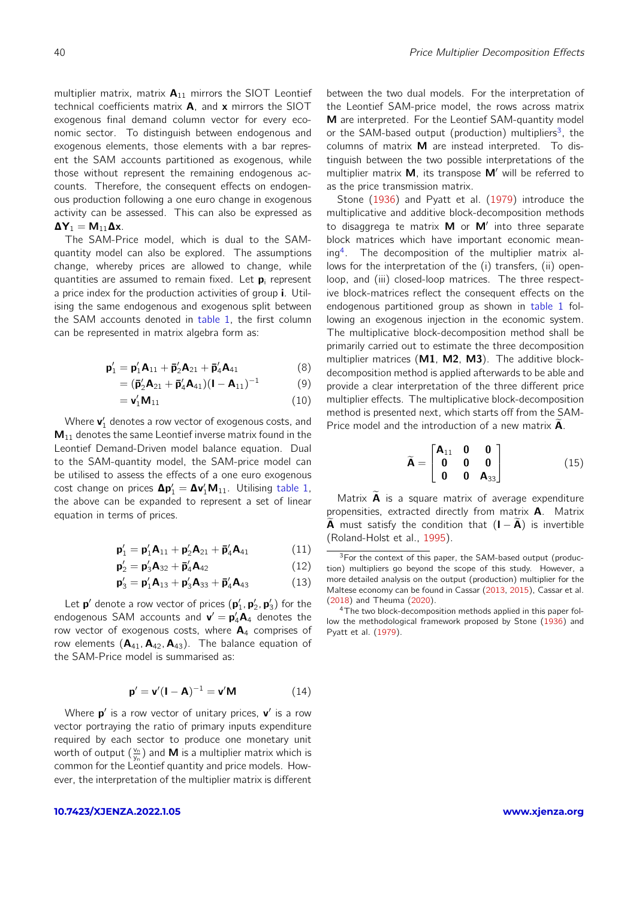multiplier matrix, matrix  $A_{11}$  mirrors the SIOT Leontief technical coefficients matrix A, and x mirrors the SIOT exogenous final demand column vector for every economic sector. To distinguish between endogenous and exogenous elements, those elements with a bar represent the SAM accounts partitioned as exogenous, while those without represent the remaining endogenous accounts. Therefore, the consequent effects on endogenous production following a one euro change in exogenous activity can be assessed. This can also be expressed as  $\Delta$ Y<sub>1</sub> = M<sub>11</sub> $\Delta$ x.

The SAM-Price model, which is dual to the SAMquantity model can also be explored. The assumptions change, whereby prices are allowed to change, while quantities are assumed to remain fixed. Let  $\mathbf{p}_i$  represent a price index for the production activities of group i. Utilising the same endogenous and exogenous split between the SAM accounts denoted in [table 1,](#page-3-0) the first column can be represented in matrix algebra form as:

$$
\mathbf{p}'_1 = \mathbf{p}'_1 \mathbf{A}_{11} + \mathbf{\bar{p}}'_2 \mathbf{A}_{21} + \mathbf{\bar{p}}'_4 \mathbf{A}_{41}
$$
 (8)

$$
= (\mathbf{\bar{p}}_2' \mathbf{A}_{21} + \mathbf{\bar{p}}_4' \mathbf{A}_{41}) (\mathbf{I} - \mathbf{A}_{11})^{-1}
$$
 (9)

$$
= \mathbf{v}'_1 \mathbf{M}_{11} \tag{10}
$$

Where  $\mathbf{v}_1'$  denotes a row vector of exogenous costs, and  $M_{11}$  denotes the same Leontief inverse matrix found in the Leontief Demand-Driven model balance equation. Dual to the SAM-quantity model, the SAM-price model can be utilised to assess the effects of a one euro exogenous cost change on prices  $\Delta p'_1 = \Delta v'_1 M_{11}$ . Utilising [table 1,](#page-3-0) the above can be expanded to represent a set of linear equation in terms of prices.

$$
\mathbf{p}'_1 = \mathbf{p}'_1 \mathbf{A}_{11} + \mathbf{p}'_2 \mathbf{A}_{21} + \mathbf{\bar{p}}'_4 \mathbf{A}_{41}
$$
 (11)

$$
\mathbf{p}'_2 = \mathbf{p}'_3 \mathbf{A}_{32} + \mathbf{\bar{p}}'_4 \mathbf{A}_{42} \tag{12}
$$

$$
\mathbf{p}'_3 = \mathbf{p}'_1 \mathbf{A}_{13} + \mathbf{p}'_3 \mathbf{A}_{33} + \mathbf{\bar{p}}'_4 \mathbf{A}_{43} \tag{13}
$$

Let  $\mathbf{p}'$  denote a row vector of prices  $(\mathbf{p}'_1, \mathbf{p}'_2, \mathbf{p}'_3)$  for the endogenous SAM accounts and  $\mathbf{v}' = \mathbf{p}'_4 \mathbf{A}_4$  denotes the row vector of exogenous costs, where  $A_4$  comprises of row elements  $(A_{41}, A_{42}, A_{43})$ . The balance equation of the SAM-Price model is summarised as:

$$
\mathbf{p}' = \mathbf{v}'(\mathbf{I} - \mathbf{A})^{-1} = \mathbf{v}'\mathbf{M}
$$
 (14)

Where  $p'$  is a row vector of unitary prices,  $v'$  is a row vector portraying the ratio of primary inputs expenditure required by each sector to produce one monetary unit worth of output  $(\frac{\mathsf{v}_\mathsf{n}}{\mathsf{y}_\mathsf{n}})$  and  $\boldsymbol{\mathsf{M}}$  is a multiplier matrix which is common for the Leontief quantity and price models. However, the interpretation of the multiplier matrix is different between the two dual models. For the interpretation of the Leontief SAM-price model, the rows across matrix M are interpreted. For the Leontief SAM-quantity model or the SAM-based output (production) multipliers<sup>[3](#page-4-0)</sup>, the columns of matrix M are instead interpreted. To distinguish between the two possible interpretations of the multiplier matrix **M**, its transpose **M'** will be referred to as the price transmission matrix.

Stone [\(1936\)](#page-8-11) and Pyatt et al. [\(1979\)](#page-8-10) introduce the multiplicative and additive block-decomposition methods to disaggrega te matrix  $M$  or  $M'$  into three separate block matrices which have important economic mean-ing<sup>[4](#page-4-1)</sup>. The decomposition of the multiplier matrix allows for the interpretation of the (i) transfers, (ii) openloop, and (iii) closed-loop matrices. The three respective block-matrices reflect the consequent effects on the endogenous partitioned group as shown in [table 1](#page-3-0) following an exogenous injection in the economic system. The multiplicative block-decomposition method shall be primarily carried out to estimate the three decomposition multiplier matrices (M1, M2, M3). The additive blockdecomposition method is applied afterwards to be able and provide a clear interpretation of the three different price multiplier effects. The multiplicative block-decomposition method is presented next, which starts off from the SAM-Price model and the introduction of a new matrix  $\overline{A}$ .

$$
\widetilde{\mathbf{A}} = \begin{bmatrix} \mathbf{A}_{11} & \mathbf{0} & \mathbf{0} \\ \mathbf{0} & \mathbf{0} & \mathbf{0} \\ \mathbf{0} & \mathbf{0} & \mathbf{A}_{33} \end{bmatrix}
$$
(15)

Matrix  $\tilde{A}$  is a square matrix of average expenditure propensities, extracted directly from matrix A. Matrix **A** must satisfy the condition that  $(I - A)$  is invertible (Roland-Holst et al., [1995\)](#page-8-0).

<span id="page-4-0"></span> $3$ For the context of this paper, the SAM-based output (production) multipliers go beyond the scope of this study. However, a more detailed analysis on the output (production) multiplier for the Maltese economy can be found in Cassar [\(2013,](#page-8-1) [2015\)](#page-8-12), Cassar et al. [\(2018\)](#page-8-13) and Theuma [\(2020\)](#page-8-3).

<span id="page-4-1"></span><sup>4</sup>The two block-decomposition methods applied in this paper follow the methodological framework proposed by Stone [\(1936\)](#page-8-11) and Pyatt et al. [\(1979\)](#page-8-10).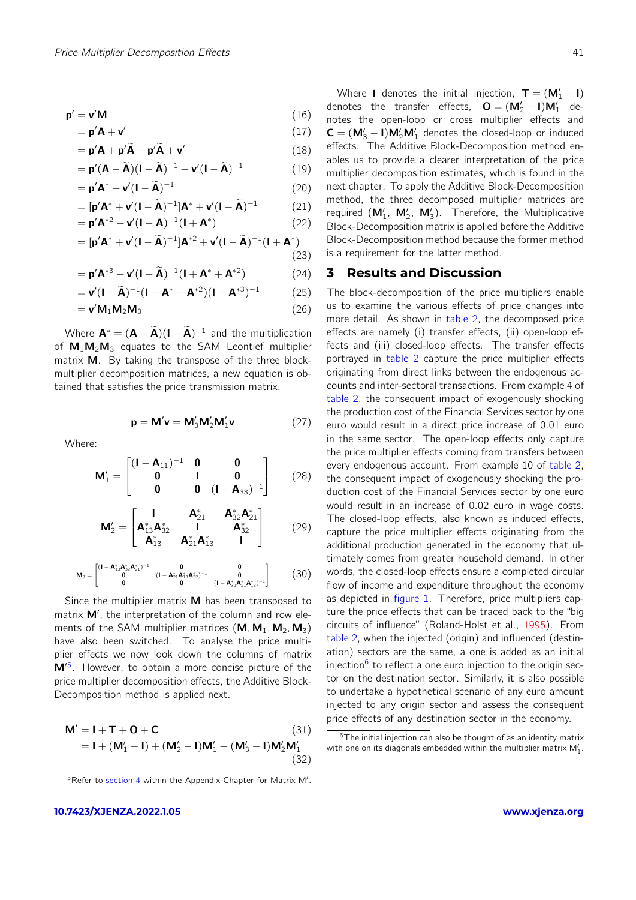$$
\mathbf{p}' = \mathbf{v}' \mathbf{M} \tag{16}
$$

$$
= \mathbf{p}'\mathbf{A} + \mathbf{v}' \tag{17}
$$

$$
= \mathbf{p}'\mathbf{A} + \mathbf{p}'\widetilde{\mathbf{A}} - \mathbf{p}'\widetilde{\mathbf{A}} + \mathbf{v}'
$$
 (18)

$$
= \mathbf{p}'(\mathbf{A} - \widetilde{\mathbf{A}})(\mathbf{I} - \widetilde{\mathbf{A}})^{-1} + \mathbf{v}'(\mathbf{I} - \widetilde{\mathbf{A}})^{-1}
$$
(19)

$$
= \mathbf{p}'\mathbf{A}^* + \mathbf{v}'(\mathbf{I} - \widetilde{\mathbf{A}})^{-1}
$$
 (20)

$$
= [\mathbf{p}'\mathbf{A}^* + \mathbf{v}'(\mathbf{I} - \widetilde{\mathbf{A}})^{-1}]\mathbf{A}^* + \mathbf{v}'(\mathbf{I} - \widetilde{\mathbf{A}})^{-1}
$$
(21)

$$
= \mathbf{p}'\mathbf{A}^{*2} + \mathbf{v}'(\mathbf{I} - \mathbf{A})^{-1}(\mathbf{I} + \mathbf{A}^{*})
$$
(22)  

$$
= [\mathbf{v}'\mathbf{A}^{*} + \mathbf{v}'(\mathbf{I} - \widetilde{\mathbf{A}})^{-1}\mathbf{I}\mathbf{A}^{*2} + \mathbf{v}'(\mathbf{I} - \widetilde{\mathbf{A}})^{-1}(\mathbf{I} + \mathbf{A}^{*})
$$

$$
= [\mathbf{p}'\mathbf{A}^* + \mathbf{v}'(\mathbf{I} - \widetilde{\mathbf{A}})^{-1}]\mathbf{A}^{*2} + \mathbf{v}'(\mathbf{I} - \widetilde{\mathbf{A}})^{-1}(\mathbf{I} + \mathbf{A}^*)
$$
\n(23)

$$
= \mathbf{p}' \mathbf{A}^{*3} + \mathbf{v}' (\mathbf{I} - \widetilde{\mathbf{A}})^{-1} (\mathbf{I} + \mathbf{A}^* + \mathbf{A}^{*2})
$$
(24)

$$
= \mathbf{v}'(\mathbf{I} - \widetilde{\mathbf{A}})^{-1}(\mathbf{I} + \mathbf{A}^* + \mathbf{A}^{*2})(\mathbf{I} - \mathbf{A}^{*3})^{-1}
$$
(25)

$$
= \mathbf{v}' \mathbf{M}_1 \mathbf{M}_2 \mathbf{M}_3 \tag{26}
$$

Where  $\mathbf{A}^* = (\mathbf{A} - \tilde{\mathbf{A}})(\mathbf{I} - \tilde{\mathbf{A}})^{-1}$  and the multiplication of  $M_1M_2M_3$  equates to the SAM Leontief multiplier matrix **M**. By taking the transpose of the three blockmultiplier decomposition matrices, a new equation is obtained that satisfies the price transmission matrix.

$$
\mathbf{p} = \mathbf{M}'\mathbf{v} = \mathbf{M}'_3\mathbf{M}'_2\mathbf{M}'_1\mathbf{v}
$$
 (27)

Where:

$$
\mathbf{M}'_1 = \begin{bmatrix} (\mathbf{I} - \mathbf{A}_{11})^{-1} & \mathbf{0} & \mathbf{0} \\ \mathbf{0} & \mathbf{I} & \mathbf{0} \\ \mathbf{0} & \mathbf{0} & (\mathbf{I} - \mathbf{A}_{33})^{-1} \end{bmatrix}
$$
 (28)

$$
\mathbf{M}'_2 = \begin{bmatrix} \mathbf{I} & \mathbf{A}_{21}^* & \mathbf{A}_{32}^* \mathbf{A}_{21}^* \\ \mathbf{A}_{13}^* \mathbf{A}_{32}^* & \mathbf{I} & \mathbf{A}_{32}^* \\ \mathbf{A}_{13}^* & \mathbf{A}_{21}^* \mathbf{A}_{13}^* & \mathbf{I} \end{bmatrix} \tag{29}
$$

$$
M_3' = \begin{bmatrix} (I - A_{13}^* A_{32}^* A_{21}^*)^{-1} & 0 & 0 \\ 0 & (I - A_{21}^* A_{13}^* A_{32}^*)^{-1} & 0 \\ 0 & 0 & (I - A_{32}^* A_{21}^* A_{13}^*)^{-1} \end{bmatrix}
$$
 (30)

Since the multiplier matrix  $M$  has been transposed to matrix M', the interpretation of the column and row elements of the SAM multiplier matrices  $(M, M_1, M_2, M_3)$ have also been switched. To analyse the price multiplier effects we now look down the columns of matrix M<sup>'[5](#page-5-1)</sup>. However, to obtain a more concise picture of the price multiplier decomposition effects, the Additive Block-Decomposition method is applied next.

$$
M' = I + T + O + C
$$
\n(31)  
\n
$$
= I + (M'_1 - I) + (M'_2 - I)M'_1 + (M'_3 - I)M'_2M'_1
$$
\n(32)

Where **I** denotes the initial injection,  $T = (M'_1 - I)$ denotes the transfer effects,  $O = (M'_2 - I)M'_1$  denotes the open-loop or cross multiplier effects and  $C = (M'_3 - I)M'_2M'_1$  denotes the closed-loop or induced effects. The Additive Block-Decomposition method enables us to provide a clearer interpretation of the price multiplier decomposition estimates, which is found in the next chapter. To apply the Additive Block-Decomposition method, the three decomposed multiplier matrices are required  $(M'_1, M'_2, M'_3)$ . Therefore, the Multiplicative Block-Decomposition matrix is applied before the Additive Block-Decomposition method because the former method is a requirement for the latter method.

#### <span id="page-5-0"></span>**3 Results and Discussion**

The block-decomposition of the price multipliers enable us to examine the various effects of price changes into more detail. As shown in [table 2,](#page-6-0) the decomposed price effects are namely (i) transfer effects, (ii) open-loop effects and (iii) closed-loop effects. The transfer effects portrayed in [table 2](#page-6-0) capture the price multiplier effects originating from direct links between the endogenous accounts and inter-sectoral transactions. From example 4 of [table 2,](#page-6-0) the consequent impact of exogenously shocking the production cost of the Financial Services sector by one euro would result in a direct price increase of 0.01 euro in the same sector. The open-loop effects only capture the price multiplier effects coming from transfers between every endogenous account. From example 10 of [table 2,](#page-6-0) the consequent impact of exogenously shocking the production cost of the Financial Services sector by one euro would result in an increase of 0.02 euro in wage costs. The closed-loop effects, also known as induced effects, capture the price multiplier effects originating from the additional production generated in the economy that ultimately comes from greater household demand. In other words, the closed-loop effects ensure a completed circular flow of income and expenditure throughout the economy as depicted in [figure 1.](#page-2-0) Therefore, price multipliers capture the price effects that can be traced back to the "big circuits of influence" (Roland-Holst et al., [1995\)](#page-8-0). From [table 2,](#page-6-0) when the injected (origin) and influenced (destination) sectors are the same, a one is added as an initial injection<sup>[6](#page-5-2)</sup> to reflect a one euro injection to the origin sector on the destination sector. Similarly, it is also possible to undertake a hypothetical scenario of any euro amount injected to any origin sector and assess the consequent price effects of any destination sector in the economy.

<span id="page-5-1"></span><sup>5</sup>Refer to [section 4](#page-10-0) within the Appendix Chapter for Matrix M'.

<span id="page-5-2"></span> $6$ The initial injection can also be thought of as an identity matrix with one on its diagonals embedded within the multiplier matrix  $\mathsf{M}'_1$ .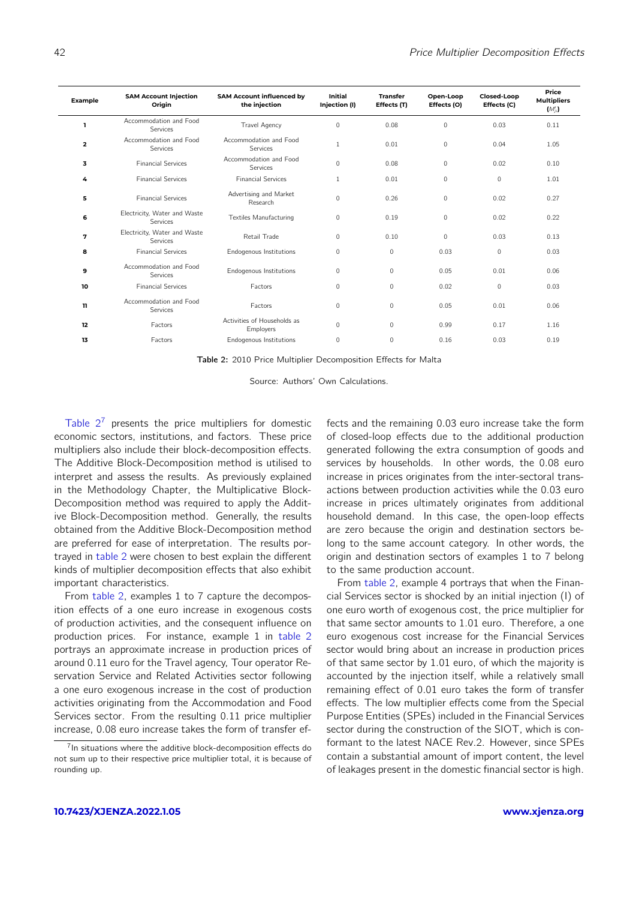<span id="page-6-0"></span>

| Example      | <b>SAM Account Injection</b><br>Origin   | <b>SAM Account influenced by</b><br>the injection | <b>Initial</b><br>Injection (I) | <b>Transfer</b><br>Effects (T) | Open-Loop<br>Effects (O) | Closed-Loop<br>Effects (C) | Price<br><b>Multipliers</b><br>$(M'_{ii})$ |
|--------------|------------------------------------------|---------------------------------------------------|---------------------------------|--------------------------------|--------------------------|----------------------------|--------------------------------------------|
|              | Accommodation and Food<br>Services       | <b>Travel Agency</b>                              | $\mathbf 0$                     | 0.08                           | $\mathbf 0$              | 0.03                       | 0.11                                       |
| $\mathbf{z}$ | Accommodation and Food<br>Services       | Accommodation and Food<br>Services                | $\mathbf{1}$                    | 0.01                           | $\Omega$                 | 0.04                       | 1.05                                       |
| 3            | <b>Financial Services</b>                | Accommodation and Food<br>Services                | $\mathbf{0}$                    | 0.08                           | $\mathbf{0}$             | 0.02                       | 0.10                                       |
| 4            | <b>Financial Services</b>                | <b>Financial Services</b>                         | 1                               | 0.01                           | $\Omega$                 | $\Omega$                   | 1.01                                       |
| 5            | <b>Financial Services</b>                | Advertising and Market<br>Research                | $\mathbf{0}$                    | 0.26                           | $\mathbf{0}$             | 0.02                       | 0.27                                       |
| 6            | Electricity, Water and Waste<br>Services | <b>Textiles Manufacturing</b>                     | 0                               | 0.19                           | $\mathbf 0$              | 0.02                       | 0.22                                       |
| 7            | Electricity, Water and Waste<br>Services | Retail Trade                                      | 0                               | 0.10                           | $\Omega$                 | 0.03                       | 0.13                                       |
| 8            | <b>Financial Services</b>                | Endogenous Institutions                           | 0                               | $\mathbf{0}$                   | 0.03                     | $\mathbf{0}$               | 0.03                                       |
| 9            | Accommodation and Food<br>Services       | Endogenous Institutions                           | 0                               | $\mathbf{0}$                   | 0.05                     | 0.01                       | 0.06                                       |
| 10           | <b>Financial Services</b>                | Factors                                           | 0                               | $\mathbf{0}$                   | 0.02                     | $\mathbf{0}$               | 0.03                                       |
| 11           | Accommodation and Food<br>Services       | Factors                                           | $\mathbf{0}$                    | $\mathbf 0$                    | 0.05                     | 0.01                       | 0.06                                       |
| 12           | Factors                                  | Activities of Households as<br>Employers          | $\mathbf{0}$                    | $\mathbf{0}$                   | 0.99                     | 0.17                       | 1.16                                       |
| 13           | Factors                                  | Endogenous Institutions                           | 0                               | $\mathbf{0}$                   | 0.16                     | 0.03                       | 0.19                                       |

Table 2: 2010 Price Multiplier Decomposition Effects for Malta

Source: Authors' Own Calculations.

Table  $2^7$  $2^7$  presents the price multipliers for domestic economic sectors, institutions, and factors. These price multipliers also include their block-decomposition effects. The Additive Block-Decomposition method is utilised to interpret and assess the results. As previously explained in the Methodology Chapter, the Multiplicative Block-Decomposition method was required to apply the Additive Block-Decomposition method. Generally, the results obtained from the Additive Block-Decomposition method are preferred for ease of interpretation. The results portrayed in [table 2](#page-6-0) were chosen to best explain the different kinds of multiplier decomposition effects that also exhibit important characteristics.

From [table 2,](#page-6-0) examples 1 to 7 capture the decomposition effects of a one euro increase in exogenous costs of production activities, and the consequent influence on production prices. For instance, example 1 in [table 2](#page-6-0) portrays an approximate increase in production prices of around 0.11 euro for the Travel agency, Tour operator Reservation Service and Related Activities sector following a one euro exogenous increase in the cost of production activities originating from the Accommodation and Food Services sector. From the resulting 0.11 price multiplier increase, 0.08 euro increase takes the form of transfer effects and the remaining 0.03 euro increase take the form of closed-loop effects due to the additional production generated following the extra consumption of goods and services by households. In other words, the 0.08 euro increase in prices originates from the inter-sectoral transactions between production activities while the 0.03 euro increase in prices ultimately originates from additional household demand. In this case, the open-loop effects are zero because the origin and destination sectors belong to the same account category. In other words, the origin and destination sectors of examples 1 to 7 belong to the same production account.

From [table 2,](#page-6-0) example 4 portrays that when the Financial Services sector is shocked by an initial injection (I) of one euro worth of exogenous cost, the price multiplier for that same sector amounts to 1.01 euro. Therefore, a one euro exogenous cost increase for the Financial Services sector would bring about an increase in production prices of that same sector by 1.01 euro, of which the majority is accounted by the injection itself, while a relatively small remaining effect of 0.01 euro takes the form of transfer effects. The low multiplier effects come from the Special Purpose Entities (SPEs) included in the Financial Services sector during the construction of the SIOT, which is conformant to the latest NACE Rev.2. However, since SPEs contain a substantial amount of import content, the level of leakages present in the domestic financial sector is high.

<span id="page-6-1"></span><sup>&</sup>lt;sup>7</sup>In situations where the additive block-decomposition effects do not sum up to their respective price multiplier total, it is because of rounding up.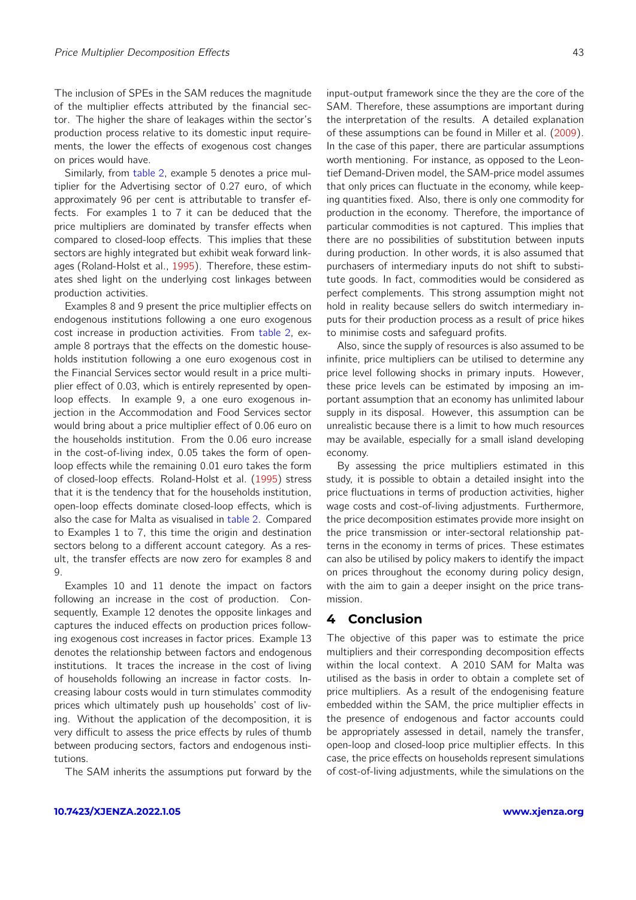The inclusion of SPEs in the SAM reduces the magnitude of the multiplier effects attributed by the financial sector. The higher the share of leakages within the sector's production process relative to its domestic input requirements, the lower the effects of exogenous cost changes on prices would have.

Similarly, from [table 2,](#page-6-0) example 5 denotes a price multiplier for the Advertising sector of 0.27 euro, of which approximately 96 per cent is attributable to transfer effects. For examples 1 to 7 it can be deduced that the price multipliers are dominated by transfer effects when compared to closed-loop effects. This implies that these sectors are highly integrated but exhibit weak forward linkages (Roland-Holst et al., [1995\)](#page-8-0). Therefore, these estimates shed light on the underlying cost linkages between production activities.

Examples 8 and 9 present the price multiplier effects on endogenous institutions following a one euro exogenous cost increase in production activities. From [table 2,](#page-6-0) example 8 portrays that the effects on the domestic households institution following a one euro exogenous cost in the Financial Services sector would result in a price multiplier effect of 0.03, which is entirely represented by openloop effects. In example 9, a one euro exogenous injection in the Accommodation and Food Services sector would bring about a price multiplier effect of 0.06 euro on the households institution. From the 0.06 euro increase in the cost-of-living index, 0.05 takes the form of openloop effects while the remaining 0.01 euro takes the form of closed-loop effects. Roland-Holst et al. [\(1995\)](#page-8-0) stress that it is the tendency that for the households institution, open-loop effects dominate closed-loop effects, which is also the case for Malta as visualised in [table 2.](#page-6-0) Compared to Examples 1 to 7, this time the origin and destination sectors belong to a different account category. As a result, the transfer effects are now zero for examples 8 and 9.

Examples 10 and 11 denote the impact on factors following an increase in the cost of production. Consequently, Example 12 denotes the opposite linkages and captures the induced effects on production prices following exogenous cost increases in factor prices. Example 13 denotes the relationship between factors and endogenous institutions. It traces the increase in the cost of living of households following an increase in factor costs. Increasing labour costs would in turn stimulates commodity prices which ultimately push up households' cost of living. Without the application of the decomposition, it is very difficult to assess the price effects by rules of thumb between producing sectors, factors and endogenous institutions.

The SAM inherits the assumptions put forward by the

**[10.7423/XJENZA.2022.1.05](https://doi.org/10.7423/XJENZA.2022.1.05) [www.xjenza.org](https://xjenza.org)**

input-output framework since the they are the core of the SAM. Therefore, these assumptions are important during the interpretation of the results. A detailed explanation of these assumptions can be found in Miller et al. [\(2009\)](#page-8-4). In the case of this paper, there are particular assumptions worth mentioning. For instance, as opposed to the Leontief Demand-Driven model, the SAM-price model assumes that only prices can fluctuate in the economy, while keeping quantities fixed. Also, there is only one commodity for production in the economy. Therefore, the importance of particular commodities is not captured. This implies that there are no possibilities of substitution between inputs during production. In other words, it is also assumed that purchasers of intermediary inputs do not shift to substitute goods. In fact, commodities would be considered as perfect complements. This strong assumption might not hold in reality because sellers do switch intermediary inputs for their production process as a result of price hikes to minimise costs and safeguard profits.

Also, since the supply of resources is also assumed to be infinite, price multipliers can be utilised to determine any price level following shocks in primary inputs. However, these price levels can be estimated by imposing an important assumption that an economy has unlimited labour supply in its disposal. However, this assumption can be unrealistic because there is a limit to how much resources may be available, especially for a small island developing economy.

By assessing the price multipliers estimated in this study, it is possible to obtain a detailed insight into the price fluctuations in terms of production activities, higher wage costs and cost-of-living adjustments. Furthermore, the price decomposition estimates provide more insight on the price transmission or inter-sectoral relationship patterns in the economy in terms of prices. These estimates can also be utilised by policy makers to identify the impact on prices throughout the economy during policy design, with the aim to gain a deeper insight on the price transmission.

#### **4 Conclusion**

The objective of this paper was to estimate the price multipliers and their corresponding decomposition effects within the local context. A 2010 SAM for Malta was utilised as the basis in order to obtain a complete set of price multipliers. As a result of the endogenising feature embedded within the SAM, the price multiplier effects in the presence of endogenous and factor accounts could be appropriately assessed in detail, namely the transfer, open-loop and closed-loop price multiplier effects. In this case, the price effects on households represent simulations of cost-of-living adjustments, while the simulations on the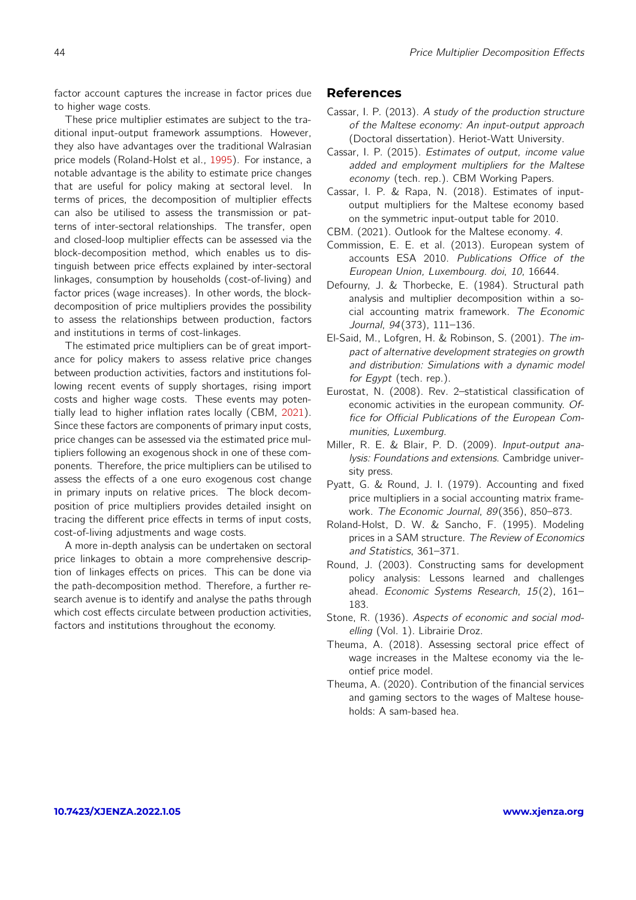factor account captures the increase in factor prices due to higher wage costs.

These price multiplier estimates are subject to the traditional input-output framework assumptions. However, they also have advantages over the traditional Walrasian price models (Roland-Holst et al., [1995\)](#page-8-0). For instance, a notable advantage is the ability to estimate price changes that are useful for policy making at sectoral level. In terms of prices, the decomposition of multiplier effects can also be utilised to assess the transmission or patterns of inter-sectoral relationships. The transfer, open and closed-loop multiplier effects can be assessed via the block-decomposition method, which enables us to distinguish between price effects explained by inter-sectoral linkages, consumption by households (cost-of-living) and factor prices (wage increases). In other words, the blockdecomposition of price multipliers provides the possibility to assess the relationships between production, factors and institutions in terms of cost-linkages.

The estimated price multipliers can be of great importance for policy makers to assess relative price changes between production activities, factors and institutions following recent events of supply shortages, rising import costs and higher wage costs. These events may potentially lead to higher inflation rates locally (CBM, [2021\)](#page-8-14). Since these factors are components of primary input costs, price changes can be assessed via the estimated price multipliers following an exogenous shock in one of these components. Therefore, the price multipliers can be utilised to assess the effects of a one euro exogenous cost change in primary inputs on relative prices. The block decomposition of price multipliers provides detailed insight on tracing the different price effects in terms of input costs, cost-of-living adjustments and wage costs.

A more in-depth analysis can be undertaken on sectoral price linkages to obtain a more comprehensive description of linkages effects on prices. This can be done via the path-decomposition method. Therefore, a further research avenue is to identify and analyse the paths through which cost effects circulate between production activities, factors and institutions throughout the economy.

#### **References**

- <span id="page-8-1"></span>Cassar, I. P. (2013). A study of the production structure of the Maltese economy: An input-output approach (Doctoral dissertation). Heriot-Watt University.
- <span id="page-8-12"></span>Cassar, I. P. (2015). Estimates of output, income value added and employment multipliers for the Maltese economy (tech. rep.). CBM Working Papers.
- <span id="page-8-13"></span>Cassar, I. P. & Rapa, N. (2018). Estimates of inputoutput multipliers for the Maltese economy based on the symmetric input-output table for 2010.
- <span id="page-8-14"></span>CBM. (2021). Outlook for the Maltese economy. 4.
- <span id="page-8-7"></span>Commission, E. E. et al. (2013). European system of accounts ESA 2010. Publications Office of the European Union, Luxembourg. doi, 10, 16644.
- <span id="page-8-9"></span>Defourny, J. & Thorbecke, E. (1984). Structural path analysis and multiplier decomposition within a social accounting matrix framework. The Economic Journal, 94(373), 111–136.
- <span id="page-8-6"></span>El-Said, M., Lofgren, H. & Robinson, S. (2001). The impact of alternative development strategies on growth and distribution: Simulations with a dynamic model for Egypt (tech. rep.).
- <span id="page-8-8"></span>Eurostat, N. (2008). Rev. 2–statistical classification of economic activities in the european community. Office for Official Publications of the European Communities, Luxemburg.
- <span id="page-8-4"></span>Miller, R. E. & Blair, P. D. (2009). Input-output analysis: Foundations and extensions. Cambridge university press.
- <span id="page-8-10"></span>Pyatt, G. & Round, J. I. (1979). Accounting and fixed price multipliers in a social accounting matrix framework. The Economic Journal, 89(356), 850–873.
- <span id="page-8-0"></span>Roland-Holst, D. W. & Sancho, F. (1995). Modeling prices in a SAM structure. The Review of Economics and Statistics, 361–371.
- <span id="page-8-5"></span>Round, J. (2003). Constructing sams for development policy analysis: Lessons learned and challenges ahead. Economic Systems Research, 15(2), 161– 183.
- <span id="page-8-11"></span>Stone, R. (1936). Aspects of economic and social modelling (Vol. 1). Librairie Droz.
- <span id="page-8-2"></span>Theuma, A. (2018). Assessing sectoral price effect of wage increases in the Maltese economy via the leontief price model.
- <span id="page-8-3"></span>Theuma, A. (2020). Contribution of the financial services and gaming sectors to the wages of Maltese households: A sam-based hea.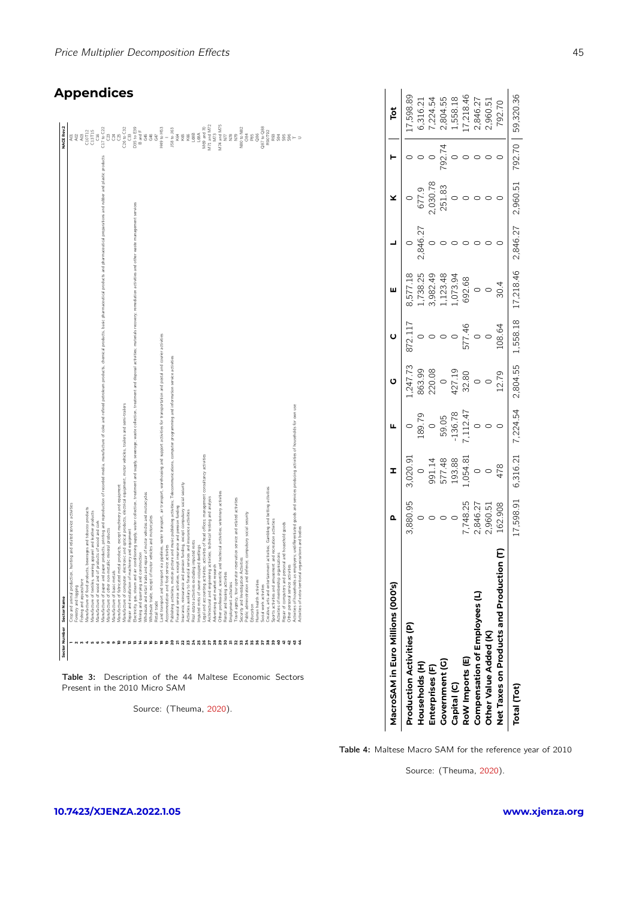| Sector Number             | Sector Name                                                                                                                                                                                                                    | NACE Rev.2                                                                                                                                                                                                                                                                                                                                                                                                                                                                                    |
|---------------------------|--------------------------------------------------------------------------------------------------------------------------------------------------------------------------------------------------------------------------------|-----------------------------------------------------------------------------------------------------------------------------------------------------------------------------------------------------------------------------------------------------------------------------------------------------------------------------------------------------------------------------------------------------------------------------------------------------------------------------------------------|
|                           | Trop and animal production, hunting and related service activities                                                                                                                                                             |                                                                                                                                                                                                                                                                                                                                                                                                                                                                                               |
|                           | Forestry and logging                                                                                                                                                                                                           |                                                                                                                                                                                                                                                                                                                                                                                                                                                                                               |
|                           | -ishing and aquaculture                                                                                                                                                                                                        |                                                                                                                                                                                                                                                                                                                                                                                                                                                                                               |
|                           | Vianufacture of food products, beverages and tobacco products                                                                                                                                                                  |                                                                                                                                                                                                                                                                                                                                                                                                                                                                                               |
|                           | Manufacture of textiles, wearing apparel and leather products                                                                                                                                                                  |                                                                                                                                                                                                                                                                                                                                                                                                                                                                                               |
| $\mathbf  \, \mathbf  \,$ | Manufacture of wood and of products of wood and cork                                                                                                                                                                           | $\begin{array}{r} \mathcal{A} \mathcal{B} \mathcal{B} \mathcal{B} \mathcal{B} \mathcal{B} \mathcal{B} \mathcal{B} \mathcal{B} \mathcal{B} \mathcal{B} \mathcal{B} \mathcal{B} \mathcal{B} \mathcal{B} \mathcal{B} \mathcal{B} \mathcal{B} \mathcal{B} \mathcal{B} \mathcal{B} \mathcal{B} \mathcal{B} \mathcal{B} \mathcal{B} \mathcal{B} \mathcal{B} \mathcal{B} \mathcal{B} \mathcal{B} \mathcal{B} \mathcal{B} \mathcal{B} \mathcal{B} \mathcal{B} \mathcal$                               |
| r                         | Aantfacture of paper products, printing and reproduction of recorded media, manufacture of coke and refined percoleurs, products, havie, pharmaceutical products and pharmaceutical preparations and rubber and plastic produc |                                                                                                                                                                                                                                                                                                                                                                                                                                                                                               |
|                           | Vlanufacture of other non-metallic mineral products                                                                                                                                                                            |                                                                                                                                                                                                                                                                                                                                                                                                                                                                                               |
|                           | Manufacture of basic metals                                                                                                                                                                                                    |                                                                                                                                                                                                                                                                                                                                                                                                                                                                                               |
|                           | Manufacture of fabricated metal products, except machinery and equipment                                                                                                                                                       |                                                                                                                                                                                                                                                                                                                                                                                                                                                                                               |
|                           | Manufacture of computer, electronic and optical products, electrical equipment, motor vehicles, trailers and semi-trailers                                                                                                     |                                                                                                                                                                                                                                                                                                                                                                                                                                                                                               |
|                           | Repair and installation of machinery and equipment                                                                                                                                                                             |                                                                                                                                                                                                                                                                                                                                                                                                                                                                                               |
|                           | Bechicly, gas, steam and air conditioning suply, water collection, treatment and set collection, treatment and disposal activities; materials recovery; remediation activities and other waste management services             |                                                                                                                                                                                                                                                                                                                                                                                                                                                                                               |
|                           | Alining and quarrying and construction                                                                                                                                                                                         |                                                                                                                                                                                                                                                                                                                                                                                                                                                                                               |
|                           | Mholesale and retail trade and repair of motor vehicles and motorcycles                                                                                                                                                        |                                                                                                                                                                                                                                                                                                                                                                                                                                                                                               |
|                           | Mholesale trade, except of motor vehicles and motorcycles                                                                                                                                                                      |                                                                                                                                                                                                                                                                                                                                                                                                                                                                                               |
|                           | Retail trade                                                                                                                                                                                                                   |                                                                                                                                                                                                                                                                                                                                                                                                                                                                                               |
|                           | and transport and transport via pipelines, water transport, air transport, warehousing and support activities for transportation and postal and courier activities                                                             |                                                                                                                                                                                                                                                                                                                                                                                                                                                                                               |
|                           | Accommodation and food service activities                                                                                                                                                                                      |                                                                                                                                                                                                                                                                                                                                                                                                                                                                                               |
|                           | Publishing activities, motion picture and music publishing activities; Telecommunications, computer programming and information service activities                                                                             | $\begin{array}{r} - \\ - \\ 158 \\ \times 64 \\ \times 65 \\ \times 66 \\ \times 68 \\ \times 66 \\ \times 68 \\ \times 66 \\ \times 68 \\ \times 68 \\ \times 68 \\ \times 68 \\ \times 68 \\ \times 68 \\ \times 68 \\ \times 68 \\ \times 68 \\ \times 68 \\ \times 68 \\ \times 68 \\ \times 68 \\ \times 68 \\ \times 68 \\ \times 68 \\ \times 68 \\ \times 68 \\ \times 68 \\ \times 68 \\ \times 68 \\ \times 68 \\ \times 68 \\ \times 68 \\ \times 68 \\ \times 68 \\ \times 68 \\$ |
|                           | Financial service activities, except insurance and pension funding                                                                                                                                                             |                                                                                                                                                                                                                                                                                                                                                                                                                                                                                               |
|                           | nsurance, reinsurance and pension funding, except compulsory social security                                                                                                                                                   |                                                                                                                                                                                                                                                                                                                                                                                                                                                                                               |
|                           | ectivities auxiliary to financial services and insurance activities                                                                                                                                                            |                                                                                                                                                                                                                                                                                                                                                                                                                                                                                               |
|                           | Real estate activities excluding imputed rents                                                                                                                                                                                 |                                                                                                                                                                                                                                                                                                                                                                                                                                                                                               |
|                           | mputed rents of owner-occupied dwellings                                                                                                                                                                                       |                                                                                                                                                                                                                                                                                                                                                                                                                                                                                               |
|                           | egal and accounting activities; activities of head offices; management consultancy activities.                                                                                                                                 |                                                                                                                                                                                                                                                                                                                                                                                                                                                                                               |
|                           | vchitectural and engineering activities; technical testing and analysis                                                                                                                                                        | M69 and 70<br>M71 and M72                                                                                                                                                                                                                                                                                                                                                                                                                                                                     |
|                           | Advertising and market research                                                                                                                                                                                                |                                                                                                                                                                                                                                                                                                                                                                                                                                                                                               |
|                           | Other professional, scientific and technical activities; veterinary activities                                                                                                                                                 |                                                                                                                                                                                                                                                                                                                                                                                                                                                                                               |
|                           | Rental and leasing activities                                                                                                                                                                                                  |                                                                                                                                                                                                                                                                                                                                                                                                                                                                                               |
|                           | imployment activities                                                                                                                                                                                                          |                                                                                                                                                                                                                                                                                                                                                                                                                                                                                               |
|                           | Fravel agency, tour operator reservation service and related activities                                                                                                                                                        |                                                                                                                                                                                                                                                                                                                                                                                                                                                                                               |
|                           | security and Investigation Activities                                                                                                                                                                                          |                                                                                                                                                                                                                                                                                                                                                                                                                                                                                               |
|                           | Public administration and defence; compulsory social security                                                                                                                                                                  |                                                                                                                                                                                                                                                                                                                                                                                                                                                                                               |
|                           | Education                                                                                                                                                                                                                      | $\begin{array}{r} \mathsf{MT3} \\ \mathsf{MT4} \\ \mathsf{MT7} \\ \mathsf{NT7} \\ \mathsf{NT8} \\ \mathsf{NT9} \\ \mathsf{NT9} \\ \mathsf{NT9} \\ \mathsf{X9} \\ \mathsf{X9} \\ \mathsf{X9} \\ \mathsf{X9} \\ \mathsf{X9} \\ \mathsf{X9} \\ \mathsf{X9} \\ \mathsf{X9} \\ \mathsf{X9} \\ \mathsf{R9} \\ \mathsf{R9} \\ \mathsf{R9} \\ \mathsf{R9} \\ \mathsf{R9} \\ \mathsf{R9} \\ \mathsf{R9} \\ \mathsf{R9} \\ \mathsf{R9} \\ \mathsf{R$                                                    |
|                           | luman health activities                                                                                                                                                                                                        |                                                                                                                                                                                                                                                                                                                                                                                                                                                                                               |
|                           | social work activities                                                                                                                                                                                                         |                                                                                                                                                                                                                                                                                                                                                                                                                                                                                               |
|                           | creative, arts and entertainment activities; Gambling and betting activities                                                                                                                                                   |                                                                                                                                                                                                                                                                                                                                                                                                                                                                                               |
|                           | ports activities and amusement and recreation activities                                                                                                                                                                       |                                                                                                                                                                                                                                                                                                                                                                                                                                                                                               |
|                           | Activities of membership organisations                                                                                                                                                                                         |                                                                                                                                                                                                                                                                                                                                                                                                                                                                                               |
|                           | Repair of computers and personal and household goods                                                                                                                                                                           |                                                                                                                                                                                                                                                                                                                                                                                                                                                                                               |
|                           | Other personal service activities                                                                                                                                                                                              | $\begin{array}{c} 28 & 28 & 26 & 26 \\ 28 & 28 & 26 & 26 \\ 28 & 28 & 26 & 26 \end{array}$                                                                                                                                                                                                                                                                                                                                                                                                    |
|                           | ctivities of households as employers; undifferentiated goods and services producing activities of households for own use                                                                                                       |                                                                                                                                                                                                                                                                                                                                                                                                                                                                                               |
|                           | Activities of extra-territorial organisations and bodies                                                                                                                                                                       |                                                                                                                                                                                                                                                                                                                                                                                                                                                                                               |
|                           |                                                                                                                                                                                                                                |                                                                                                                                                                                                                                                                                                                                                                                                                                                                                               |
|                           |                                                                                                                                                                                                                                |                                                                                                                                                                                                                                                                                                                                                                                                                                                                                               |
|                           |                                                                                                                                                                                                                                |                                                                                                                                                                                                                                                                                                                                                                                                                                                                                               |
|                           |                                                                                                                                                                                                                                |                                                                                                                                                                                                                                                                                                                                                                                                                                                                                               |
|                           |                                                                                                                                                                                                                                |                                                                                                                                                                                                                                                                                                                                                                                                                                                                                               |

Table 3: Description of the 44 Maltese Economic Sectors Present in the 2010 Micro SAM

Source: (Theuma, [2020\)](#page-8-3).

| MacroSAM in Euro Millions (000's)            | Δ         | I                                      |                  | ပ                    |             | ш         |          |                   |        | Ĭŏ        |
|----------------------------------------------|-----------|----------------------------------------|------------------|----------------------|-------------|-----------|----------|-------------------|--------|-----------|
| Production Activities (P)                    | 3,880.95  | 3,020.91                               |                  | .,247.73             | 872.117     | 3,577.18  |          |                   |        | 7,598.89  |
| Households (H)                               |           | $\circ$                                | 189.79           |                      |             | ,738.25   | 2,846.27 |                   |        | 6,316.21  |
| Enterprises (F)                              |           |                                        | $\circ$          | 863.99<br>220.08     |             | 1,982.49  |          | 677.9<br>2,030.78 |        | ',224.54  |
| Government (G)                               |           |                                        |                  | $\circ$              |             | ,123.48   |          | 251.83            | 792.74 | 2,804.55  |
| Capital (C)                                  |           |                                        | 59.05<br>-136.78 |                      | $\circ$     | 1,073.94  |          |                   |        | 1,558.18  |
| RoW Imports (E)                              | 748.25    | 991.14<br>577.48<br>193.88<br>1,054.81 |                  | 427.19<br>32.80<br>0 | 577.46<br>0 | 692.68    |          |                   |        | 7,218.46  |
| Compensation of Employees (L)                | 2,846.27  | $\circ$                                | $7,112.47$<br>0  |                      |             |           |          |                   |        | 2,846.27  |
| Other Value Added (K)                        | 2,960.51  |                                        |                  |                      |             |           |          |                   |        | 2,960.51  |
| Ton (T)<br>Net Taxes on Products and Product | 162.908   | 478                                    |                  | 12.79                | 108.64      | 30.4      |          |                   |        | 792.70    |
| Total (Tot)                                  | [7,598.91 | 6,316.21                               | 7,224.54         | 2,804.55             | 1,558.18    | 17,218.46 | 2,846.27 | 2,960.51          | 792.70 | 59,320.36 |

6,316.21<br>7,224.54<br>2,804.55<br>1,558.18

17,598.89

2,846.27<br>2,960.51<br>792.70

Table 4: Maltese Macro SAM for the reference year of 2010

Source: (Theuma, [2020\)](#page-8-3).

#### Price Multiplier Decomposition Effects 45

## **Appendices**